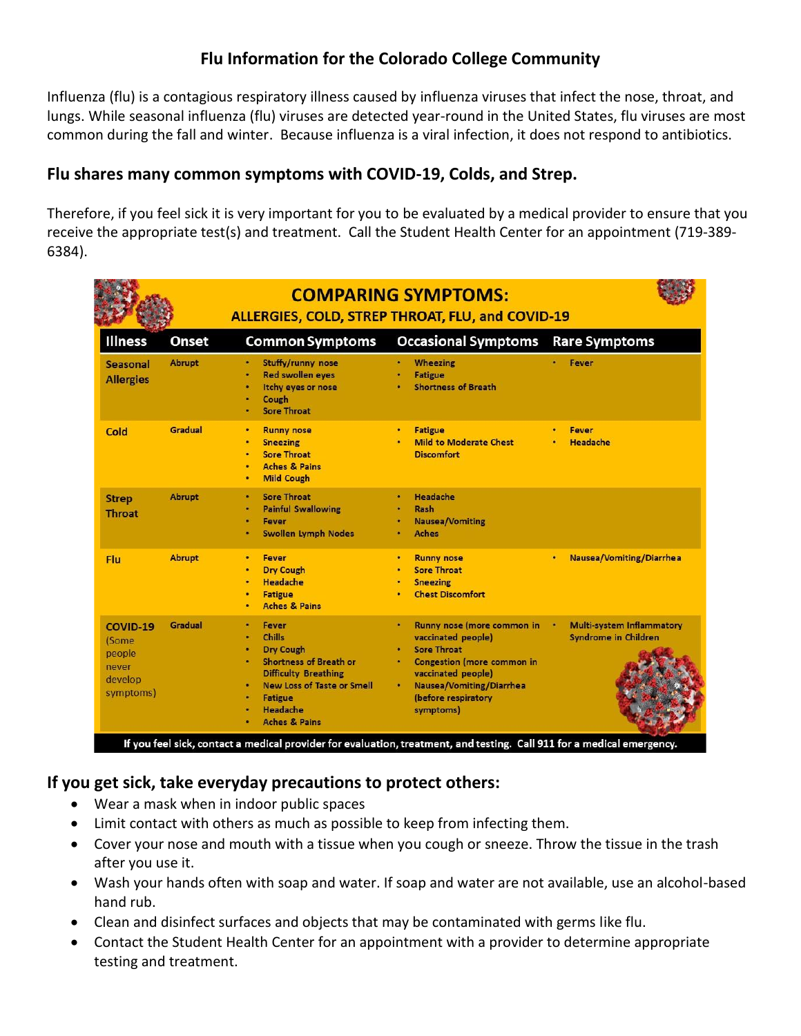# **Flu Information for the Colorado College Community**

Influenza (flu) is a contagious respiratory illness caused by influenza viruses that infect the nose, throat, and lungs. While seasonal influenza (flu) viruses are detected year-round in the United States, flu viruses are most common during the fall and winter. Because influenza is a viral infection, it does not respond to antibiotics.

#### **Flu shares many common symptoms with COVID-19, Colds, and Strep.**

Therefore, if you feel sick it is very important for you to be evaluated by a medical provider to ensure that you receive the appropriate test(s) and treatment. Call the Student Health Center for an appointment (719-389- 6384).

|                                                              |               | <b>COMPARING SYMPTOMS:</b><br>ALLERGIES, COLD, STREP THROAT, FLU, and COVID-19                                                                                                                                                     |                                                                                                                                                                                                   |                                                                      |
|--------------------------------------------------------------|---------------|------------------------------------------------------------------------------------------------------------------------------------------------------------------------------------------------------------------------------------|---------------------------------------------------------------------------------------------------------------------------------------------------------------------------------------------------|----------------------------------------------------------------------|
| <b>Illness</b>                                               | Onset         | <b>Common Symptoms</b>                                                                                                                                                                                                             | <b>Occasional Symptoms</b>                                                                                                                                                                        | <b>Rare Symptoms</b>                                                 |
| <b>Seasonal</b><br><b>Allergies</b>                          | <b>Abrupt</b> | Stuffy/runny nose<br>٠<br><b>Red swollen eyes</b><br>٠<br>Itchy eyes or nose<br>è<br>Cough<br>٠<br><b>Sore Throat</b>                                                                                                              | Wheezing<br><b>Fatigue</b><br><b>Shortness of Breath</b>                                                                                                                                          | Fever                                                                |
| Cold                                                         | Gradual       | <b>Runny nose</b><br>٠<br><b>Sneezing</b><br>٠<br><b>Sore Throat</b><br>٠<br><b>Aches &amp; Pains</b><br>٠<br><b>Mild Cough</b><br>٠                                                                                               | <b>Fatigue</b><br>٠<br><b>Mild to Moderate Chest</b><br><b>Discomfort</b>                                                                                                                         | Fever<br>Headache                                                    |
| <b>Strep</b><br><b>Throat</b>                                | <b>Abrupt</b> | <b>Sore Throat</b><br>٠<br><b>Painful Swallowing</b><br>٠<br>Fever<br>٠<br><b>Swollen Lymph Nodes</b><br>٠                                                                                                                         | Headache<br>٠<br>Rash<br><b>Nausea/Vomiting</b><br><b>Aches</b>                                                                                                                                   |                                                                      |
| Flu                                                          | <b>Abrupt</b> | <b>Fever</b><br>٠<br><b>Dry Cough</b><br><b>Headache</b><br><b>Fatigue</b><br><b>Aches &amp; Pains</b>                                                                                                                             | <b>Runny nose</b><br>٠<br><b>Sore Throat</b><br><b>Sneezing</b><br><b>Chest Discomfort</b>                                                                                                        | <b>Nausea/Vomiting/Diarrhea</b><br>٠                                 |
| COVID-19<br>(Some<br>people<br>never<br>develop<br>symptoms) | Gradual       | Fever<br><b>Chills</b><br><b>Dry Cough</b><br>٠<br><b>Shortness of Breath or</b><br>٠<br><b>Difficulty Breathing</b><br><b>New Loss of Taste or Smell</b><br>٠<br><b>Fatigue</b><br>٠<br>Headache<br>٠<br><b>Aches &amp; Pains</b> | Runny nose (more common in<br>vaccinated people)<br><b>Sore Throat</b><br>Congestion (more common in<br>vaccinated people)<br><b>Nausea/Vomiting/Diarrhea</b><br>(before respiratory<br>symptoms) | <b>Multi-system Inflammatory</b><br>٠<br><b>Syndrome in Children</b> |

### **If you get sick, take everyday precautions to protect others:**

- Wear a mask when in indoor public spaces
- Limit contact with others as much as possible to keep from infecting them.
- Cover your nose and mouth with a tissue when you cough or sneeze. Throw the tissue in the trash after you use it.
- Wash your hands often with soap and water. If soap and water are not available, use an alcohol-based hand rub.
- Clean and disinfect surfaces and objects that may be contaminated with germs like flu.
- Contact the Student Health Center for an appointment with a provider to determine appropriate testing and treatment.